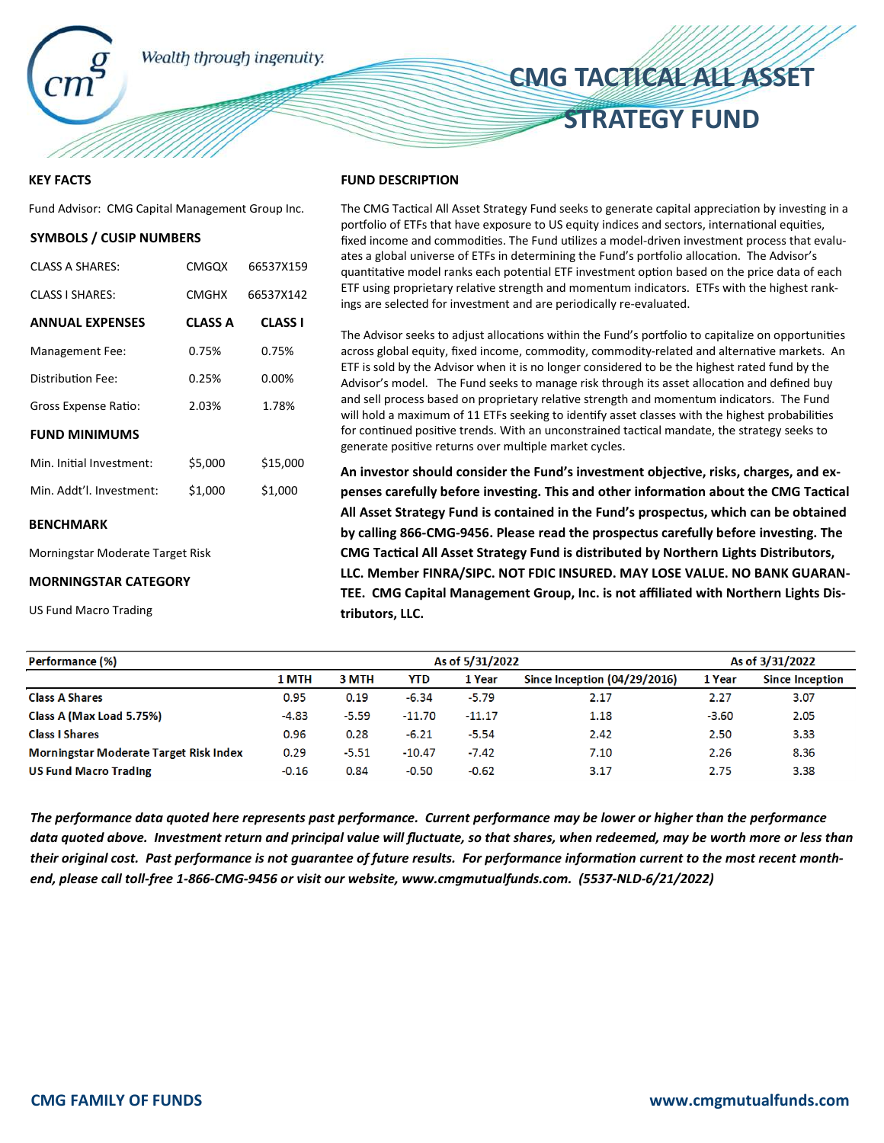

### **KEY FACTS**

Fund Advisor: CMG Capital Management Group Inc.

### **SYMBOLS / CUSIP NUMBERS**

| CLASS A SHARES:          | <b>CMGOX</b>   | 66537X159      |
|--------------------------|----------------|----------------|
| <b>CLASS I SHARES:</b>   | <b>CMGHX</b>   | 66537X142      |
| <b>ANNUAL EXPENSES</b>   | <b>CLASS A</b> | <b>CLASS I</b> |
| Management Fee:          | 0.75%          | 0.75%          |
| Distribution Fee:        | 0.25%          | 0.00%          |
| Gross Expense Ratio:     | 2.03%          | 1.78%          |
| <b>FUND MINIMUMS</b>     |                |                |
| Min. Initial Investment: | \$5,000        | \$15,000       |
| Min. Addt'l. Investment: | \$1,000        | \$1,000        |
|                          |                |                |

#### **BENCHMARK**

Morningstar Moderate Target Risk

#### **MORNINGSTAR CATEGORY**

US Fund Macro Trading

#### **FUND DESCRIPTION**

The CMG Tactical All Asset Strategy Fund seeks to generate capital appreciation by investing in a portfolio of ETFs that have exposure to US equity indices and sectors, international equities, fixed income and commodities. The Fund utilizes a model-driven investment process that evaluates a global universe of ETFs in determining the Fund's portfolio allocation. The Advisor's quantitative model ranks each potential ETF investment option based on the price data of each ETF using proprietary relative strength and momentum indicators. ETFs with the highest rankings are selected for investment and are periodically re-evaluated.

**CMG TACTICAL ALL ASSET** 

**STRATEGY FUND** 

The Advisor seeks to adjust allocations within the Fund's portfolio to capitalize on opportunities across global equity, fixed income, commodity, commodity-related and alternative markets. An ETF is sold by the Advisor when it is no longer considered to be the highest rated fund by the Advisor's model. The Fund seeks to manage risk through its asset allocation and defined buy and sell process based on proprietary relative strength and momentum indicators. The Fund will hold a maximum of 11 ETFs seeking to identify asset classes with the highest probabilities for continued positive trends. With an unconstrained tactical mandate, the strategy seeks to generate positive returns over multiple market cycles.

An investor should consider the Fund's investment objective, risks, charges, and expenses carefully before investing. This and other information about the CMG Tactical **All Asset Strategy Fund is contained in the Fund's prospectus, which can be obtained**  by calling 866-CMG-9456. Please read the prospectus carefully before investing. The **CMG Tactical All Asset Strategy Fund is distributed by Northern Lights Distributors, LLC. Member FINRA/SIPC. NOT FDIC INSURED. MAY LOSE VALUE. NO BANK GUARAN-TEE. CMG Capital Management Group, Inc. is not affiliated with Northern Lights Distributors, LLC.** 

| As of 5/31/2022 |                                                     |                                                     |                              |         | As of 3/31/2022        |  |
|-----------------|-----------------------------------------------------|-----------------------------------------------------|------------------------------|---------|------------------------|--|
|                 | <b>YTD</b>                                          | 1 Year                                              | Since Inception (04/29/2016) | 1 Year  | <b>Since Inception</b> |  |
|                 | $-6.34$                                             | $-5.79$                                             | 2.17                         | 2.27    | 3.07                   |  |
|                 |                                                     | $-11.17$                                            | 1.18                         | $-3.60$ | 2.05                   |  |
|                 | $-6.21$                                             | $-5.54$                                             | 2.42                         | 2.50    | 3.33                   |  |
|                 | $-10.47$                                            | $-7.42$                                             | 7.10                         | 2.26    | 8.36                   |  |
|                 | $-0.50$                                             | $-0.62$                                             | 3.17                         | 2.75    | 3.38                   |  |
|                 | 1 MTH<br>0.95<br>$-4.83$<br>0.96<br>0.29<br>$-0.16$ | 3 MTH<br>0.19<br>$-5.59$<br>0.28<br>$-5.51$<br>0.84 | $-11.70$                     |         |                        |  |

*The performance data quoted here represents past performance. Current performance may be lower or higher than the performance data quoted above. Investment return and principal value will fluctuate, so that shares, when redeemed, may be worth more or less than*  their original cost. Past performance is not guarantee of future results. For performance information current to the most recent month*end, please call toll-free 1-866-CMG-9456 or visit our website, www.cmgmutualfunds.com. (5537-NLD-6/21/2022)*